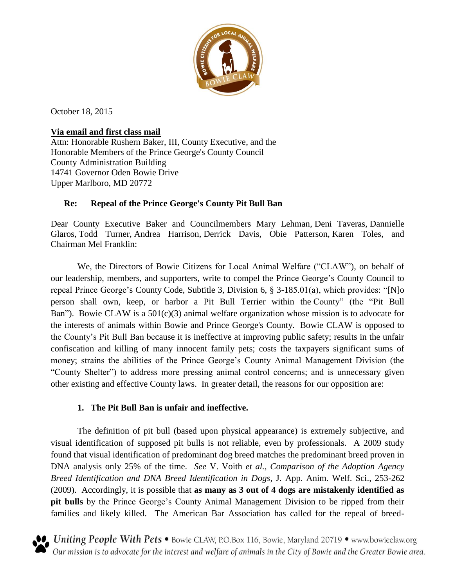

October 18, 2015

### **Via email and first class mail**

Attn: Honorable Rushern Baker, III, County Executive, and the Honorable Members of the Prince George's County Council County Administration Building 14741 Governor Oden Bowie Drive Upper Marlboro, MD 20772

## **Re: Repeal of the Prince George's County Pit Bull Ban**

Dear County Executive Baker and Councilmembers Mary Lehman, [Deni Taveras,](mailto:DTaveras@co.pg.md.us) [Dannielle](mailto:dmglaros@co.pg.md.us)  [Glaros,](mailto:dmglaros@co.pg.md.us) [Todd Turner,](mailto:TMTurner@co.pg.md.us) [Andrea Harrison,](mailto:aharrison@co.pg.md.us) [Derrick Davis,](mailto:dldavis@co.pg.md.us) Obie Patterson, [Karen Toles,](mailto:KRToles@co.pg.md.us) and Chairman [Mel Franklin:](mailto:mfranklin@co.pg.md.us)

We, the Directors of Bowie Citizens for Local Animal Welfare ("CLAW"), on behalf of our leadership, members, and supporters, write to compel the Prince George's County Council to repeal Prince George's County Code, Subtitle 3, Division 6, § 3-185.01(a), which provides: "[N]o person shall own, keep, or harbor a Pit Bull Terrier within the County" (the "Pit Bull Ban"). Bowie CLAW is a 501(c)(3) animal welfare organization whose mission is to advocate for the interests of animals within Bowie and Prince George's County. Bowie CLAW is opposed to the County's Pit Bull Ban because it is ineffective at improving public safety; results in the unfair confiscation and killing of many innocent family pets; costs the taxpayers significant sums of money; strains the abilities of the Prince George's County Animal Management Division (the "County Shelter") to address more pressing animal control concerns; and is unnecessary given other existing and effective County laws. In greater detail, the reasons for our opposition are:

# **1. The Pit Bull Ban is unfair and ineffective.**

The definition of pit bull (based upon physical appearance) is extremely subjective, and visual identification of supposed pit bulls is not reliable, even by professionals. A 2009 study found that visual identification of predominant dog breed matches the predominant breed proven in DNA analysis only 25% of the time. *See* V. Voith *et al., Comparison of the Adoption Agency Breed Identification and DNA Breed Identification in Dogs,* J. App. Anim. Welf. Sci., 253-262 (2009). Accordingly, it is possible that **as many as 3 out of 4 dogs are mistakenly identified as pit bulls** by the Prince George's County Animal Management Division to be ripped from their families and likely killed. The American Bar Association has called for the repeal of breed-



**O** Uniting People With Pets • Bowie CLAW, P.O.Box 116, Bowie, Maryland 20719 • www.bowieclaw.org  $\bullet$  Our mission is to advocate for the interest and welfare of animals in the City of Bowie and the Greater Bowie area.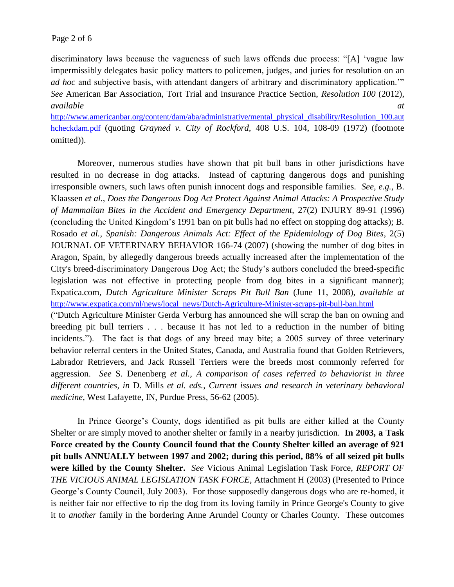discriminatory laws because the vagueness of such laws offends due process: "[A] 'vague law impermissibly delegates basic policy matters to policemen, judges, and juries for resolution on an *ad hoc* and subjective basis, with attendant dangers of arbitrary and discriminatory application." *See* American Bar Association, Tort Trial and Insurance Practice Section, *Resolution 100* (2012), *available at*

[http://www.americanbar.org/content/dam/aba/administrative/mental\\_physical\\_disability/Resolution\\_100.aut](http://www.americanbar.org/content/dam/aba/administrative/mental_physical_disability/Resolution_100.authcheckdam.pdf) [hcheckdam.pdf](http://www.americanbar.org/content/dam/aba/administrative/mental_physical_disability/Resolution_100.authcheckdam.pdf) (quoting *Grayned v. City of Rockford,* 408 U.S. 104, 108-09 (1972) (footnote omitted)).

Moreover, numerous studies have shown that pit bull bans in other jurisdictions have resulted in no decrease in dog attacks. Instead of capturing dangerous dogs and punishing irresponsible owners, such laws often punish innocent dogs and responsible families. *See, e.g.,* B. Klaassen *et al.*, *Does the Dangerous Dog Act Protect Against Animal Attacks: A Prospective Study of Mammalian Bites in the Accident and Emergency Department,* 27(2) INJURY 89-91 (1996) (concluding the United Kingdom's 1991 ban on pit bulls had no effect on stopping dog attacks); B. Rosado *et al., Spanish: Dangerous Animals Act: Effect of the Epidemiology of Dog Bites*, 2(5) JOURNAL OF VETERINARY BEHAVIOR 166-74 (2007) (showing the number of dog bites in Aragon, Spain, by allegedly dangerous breeds actually increased after the implementation of the City's breed-discriminatory Dangerous Dog Act; the Study's authors concluded the breed-specific legislation was not effective in protecting people from dog bites in a significant manner); Expatica.com, *Dutch Agriculture Minister Scraps Pit Bull Ban* (June 11, 2008), *available at* [http://www.expatica.com/nl/news/local\\_news/Dutch-Agriculture-Minister-scraps-pit-bull-ban.html](http://www.expatica.com/nl/news/local_news/Dutch-Agriculture-Minister-scraps-pit-bull-ban.html) ("Dutch Agriculture Minister Gerda Verburg has announced she will scrap the ban on owning and breeding pit bull terriers . . . because it has not led to a reduction in the number of biting incidents."). The fact is that dogs of any breed may bite; a 2005 survey of three veterinary behavior referral centers in the United States, Canada, and Australia found that Golden Retrievers, Labrador Retrievers, and Jack Russell Terriers were the breeds most commonly referred for aggression. *See* S. Denenberg *et al., A comparison of cases referred to behaviorist in three different countries, in* D. Mills *et al. eds.*, *Current issues and research in veterinary behavioral medicine,* West Lafayette, IN, Purdue Press, 56-62 (2005).

In Prince George's County, dogs identified as pit bulls are either killed at the County Shelter or are simply moved to another shelter or family in a nearby jurisdiction. **In 2003, a Task Force created by the County Council found that the County Shelter killed an average of 921 pit bulls ANNUALLY between 1997 and 2002; during this period, 88% of all seized pit bulls were killed by the County Shelter.** *See* Vicious Animal Legislation Task Force, *REPORT OF THE VICIOUS ANIMAL LEGISLATION TASK FORCE,* Attachment H (2003) (Presented to Prince George's County Council, July 2003). For those supposedly dangerous dogs who are re-homed, it is neither fair nor effective to rip the dog from its loving family in Prince George's County to give it to *another* family in the bordering Anne Arundel County or Charles County. These outcomes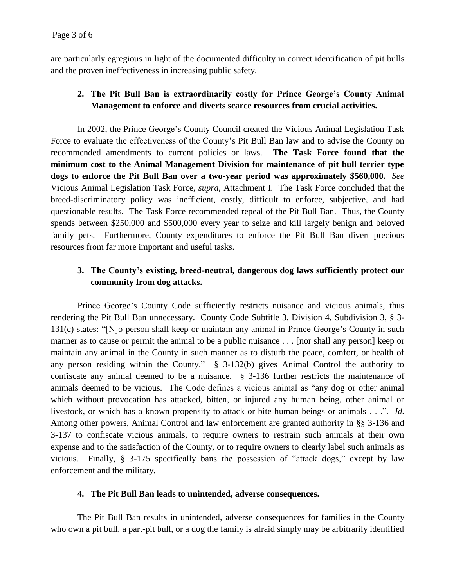are particularly egregious in light of the documented difficulty in correct identification of pit bulls and the proven ineffectiveness in increasing public safety.

## **2. The Pit Bull Ban is extraordinarily costly for Prince George's County Animal Management to enforce and diverts scarce resources from crucial activities.**

In 2002, the Prince George's County Council created the Vicious Animal Legislation Task Force to evaluate the effectiveness of the County's Pit Bull Ban law and to advise the County on recommended amendments to current policies or laws. **The Task Force found that the minimum cost to the Animal Management Division for maintenance of pit bull terrier type dogs to enforce the Pit Bull Ban over a two-year period was approximately \$560,000.** *See*  Vicious Animal Legislation Task Force, *supra,* Attachment I.The Task Force concluded that the breed-discriminatory policy was inefficient, costly, difficult to enforce, subjective, and had questionable results. The Task Force recommended repeal of the Pit Bull Ban. Thus, the County spends between \$250,000 and \$500,000 every year to seize and kill largely benign and beloved family pets. Furthermore, County expenditures to enforce the Pit Bull Ban divert precious resources from far more important and useful tasks.

#### **3. The County's existing, breed-neutral, dangerous dog laws sufficiently protect our community from dog attacks.**

Prince George's County Code sufficiently restricts nuisance and vicious animals, thus rendering the Pit Bull Ban unnecessary. County Code Subtitle 3, Division 4, Subdivision 3, § 3- 131(c) states: "[N]o person shall keep or maintain any animal in Prince George's County in such manner as to cause or permit the animal to be a public nuisance . . . [nor shall any person] keep or maintain any animal in the County in such manner as to disturb the peace, comfort, or health of any person residing within the County." § 3-132(b) gives Animal Control the authority to confiscate any animal deemed to be a nuisance. § 3-136 further restricts the maintenance of animals deemed to be vicious. The Code defines a vicious animal as "any dog or other animal which without provocation has attacked, bitten, or injured any human being, other animal or livestock, or which has a known propensity to attack or bite human beings or animals . . .". *Id.* Among other powers, Animal Control and law enforcement are granted authority in §§ 3-136 and 3-137 to confiscate vicious animals, to require owners to restrain such animals at their own expense and to the satisfaction of the County, or to require owners to clearly label such animals as vicious. Finally, § 3-175 specifically bans the possession of "attack dogs," except by law enforcement and the military.

#### **4. The Pit Bull Ban leads to unintended, adverse consequences.**

The Pit Bull Ban results in unintended, adverse consequences for families in the County who own a pit bull, a part-pit bull, or a dog the family is afraid simply may be arbitrarily identified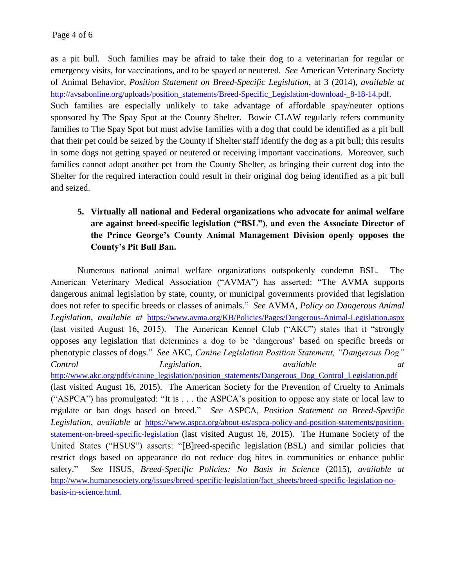as a pit bull. Such families may be afraid to take their dog to a veterinarian for regular or emergency visits, for vaccinations, and to be spayed or neutered. *See* American Veterinary Society of Animal Behavior, *Position Statement on Breed-Specific Legislation*, at 3 (2014), *available at*  [http://avsabonline.org/uploads/position\\_statements/Breed-Specific\\_Legislation-download-\\_8-18-14.pdf](http://avsabonline.org/uploads/position_statements/Breed-Specific_Legislation-download-_8-18-14.pdf). Such families are especially unlikely to take advantage of affordable spay/neuter options sponsored by The Spay Spot at the County Shelter. Bowie CLAW regularly refers community families to The Spay Spot but must advise families with a dog that could be identified as a pit bull that their pet could be seized by the County if Shelter staff identify the dog as a pit bull; this results in some dogs not getting spayed or neutered or receiving important vaccinations. Moreover, such families cannot adopt another pet from the County Shelter, as bringing their current dog into the Shelter for the required interaction could result in their original dog being identified as a pit bull and seized.

# **5. Virtually all national and Federal organizations who advocate for animal welfare are against breed-specific legislation ("BSL"), and even the Associate Director of the Prince George's County Animal Management Division openly opposes the County's Pit Bull Ban.**

Numerous national animal welfare organizations outspokenly condemn BSL. The American Veterinary Medical Association ("AVMA") has asserted: "The AVMA supports dangerous animal legislation by state, county, or municipal governments provided that legislation does not refer to specific breeds or classes of animals." *See* AVMA, *Policy on Dangerous Animal Legislation, available at* <https://www.avma.org/KB/Policies/Pages/Dangerous-Animal-Legislation.aspx> (last visited August 16, 2015). The American Kennel Club ("AKC") states that it "strongly opposes any legislation that determines a dog to be 'dangerous' based on specific breeds or phenotypic classes of dogs." *See* AKC, *Canine Legislation Position Statement, "Dangerous Dog" Control Legislation*, *available at*  [http://www.akc.org/pdfs/canine\\_legislation/position\\_statements/Dangerous\\_Dog\\_Control\\_Legislation.pdf](http://www.akc.org/pdfs/canine_legislation/position_statements/Dangerous_Dog_Control_Legislation.pdf) (last visited August 16, 2015). The American Society for the Prevention of Cruelty to Animals ("ASPCA") has promulgated: "It is . . . the ASPCA's position to oppose any state or local law to regulate or ban dogs based on breed." *See* ASPCA, *Position Statement on Breed-Specific Legislation, available at* [https://www.aspca.org/about-us/aspca-policy-and-position-statements/position](https://www.aspca.org/about-us/aspca-policy-and-position-statements/position-statement-on-breed-specific-legislation)[statement-on-breed-specific-legislation](https://www.aspca.org/about-us/aspca-policy-and-position-statements/position-statement-on-breed-specific-legislation) (last visited August 16, 2015). The Humane Society of the United States ("HSUS") asserts: ["\[B\]reed-specific legislation](http://www.humanesociety.org/issues/breed-specific-legislation/fact_sheets/breed-specific-legislation-all-dogs-are-equal.html?credit=web_id625934014) (BSL) and similar policies that restrict dogs based on appearance do not reduce dog bites in communities or enhance public safety." *See* HSUS, *Breed-Specific Policies: No Basis in Science* (2015), *available at*  [http://www.humanesociety.org/issues/breed-specific-legislation/fact\\_sheets/breed-specific-legislation-no](http://www.humanesociety.org/issues/breed-specific-legislation/fact_sheets/breed-specific-legislation-no-basis-in-science.html)[basis-in-science.html](http://www.humanesociety.org/issues/breed-specific-legislation/fact_sheets/breed-specific-legislation-no-basis-in-science.html).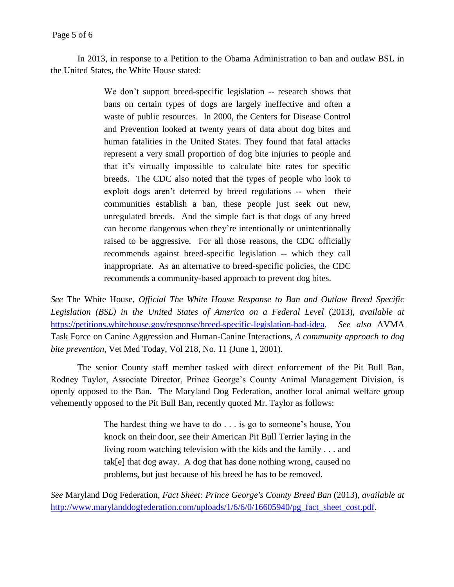In 2013, in response to a Petition to the Obama Administration to ban and outlaw BSL in the United States, the White House stated:

> We don't support breed-specific legislation -- research shows that bans on certain types of dogs are largely ineffective and often a waste of public resources. In 2000, the Centers for Disease Control and Prevention looked at twenty years of data about dog bites and human fatalities in the United States. They found that fatal attacks represent a very small proportion of dog bite injuries to people and that it's virtually impossible to calculate bite rates for specific breeds. The CDC also noted that the types of people who look to exploit dogs aren't deterred by breed regulations -- when their communities establish a ban, these people just seek out new, unregulated breeds. And the simple fact is that dogs of any breed can become dangerous when they're intentionally or unintentionally raised to be aggressive. For all those reasons, the CDC officially recommends against breed-specific legislation -- which they call inappropriate. As an alternative to breed-specific policies, the CDC recommends a community-based approach to prevent dog bites.

*See* The White House, *Official The White House Response to Ban and Outlaw Breed Specific*  Legislation (BSL) in the United States of America on a Federal Level (2013), *available at* [https://petitions.whitehouse.gov/response/breed-specific-legislation-bad-idea.](https://petitions.whitehouse.gov/response/breed-specific-legislation-bad-idea) *See also* AVMA Task Force on Canine Aggression and Human-Canine Interactions, *A community approach to dog bite prevention,* Vet Med Today, Vol 218, No. 11 (June 1, 2001).

The senior County staff member tasked with direct enforcement of the Pit Bull Ban, Rodney Taylor, Associate Director, Prince George's County Animal Management Division, is openly opposed to the Ban. The Maryland Dog Federation, another local animal welfare group vehemently opposed to the Pit Bull Ban, recently quoted Mr. Taylor as follows:

> The hardest thing we have to do . . . is go to someone's house, You knock on their door, see their American Pit Bull Terrier laying in the living room watching television with the kids and the family . . . and tak[e] that dog away. A dog that has done nothing wrong, caused no problems, but just because of his breed he has to be removed.

*See* Maryland Dog Federation, *Fact Sheet: Prince George's County Breed Ban* (2013), *available at*  http://www.marylanddogfederation.com/uploads/1/6/6/0/16605940/pg fact sheet cost.pdf.